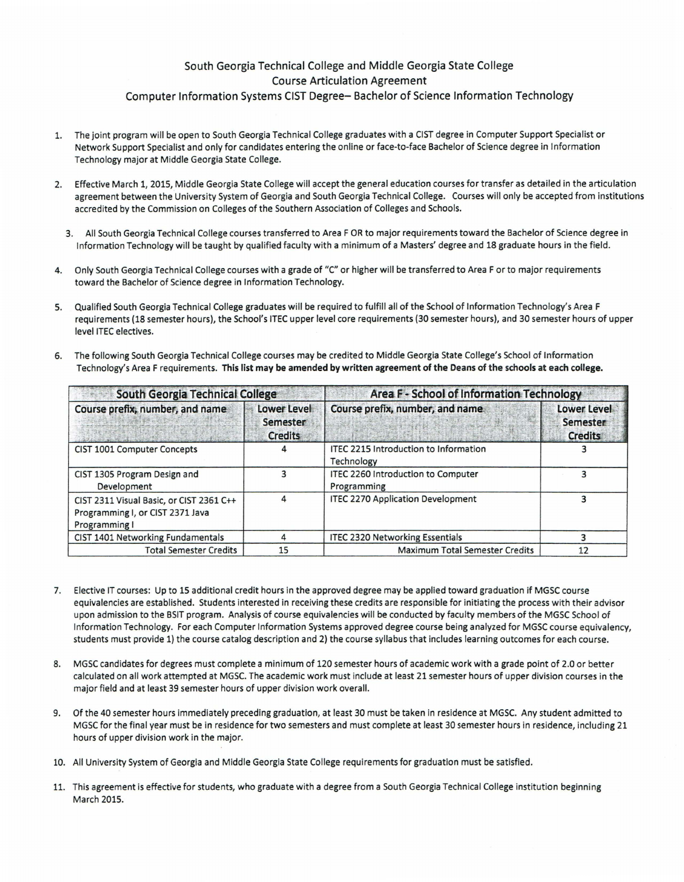## South Georgia Technical College and Middle Georgia State College Course Articulation Agreement Computer Information Systems CIST Degree- Bachelor of Science Information Technology

- 1. The joint program will be open to South Georgia Technical College graduates with a CIST degree in Computer Support Specialist or Network Support Specialist and only for candidates entering the online or face-to-face Bachelor of Science degree in Information Technology major at Middle Georgia State College.
- 2. Effective March 1, 2015, Middle Georgia State College will accept the general education courses for transfer as detailed in the articulation agreement between the University System of Georgia and South Georgia Technical College. Courses will only be accepted from institutions accredited by the Commission on Colleges of the Southern Association of Colleges and Schools.
	- 3. All South Georgia Technical College courses transferred to Area FOR to major requirements toward the Bachelor of Science degree in Information Technology will be taught by qualified faculty with a minimum of a Masters' degree and 18 graduate hours in the field.
- 4. Only South Georgia Technical College courses with a grade of "C" or higher will be transferred to Area For to major requirements toward the Bachelor of Science degree in Information Technology.
- 5. Qualified South Georgia Technical College graduates will be required to fulfill all of the School of Information Technology's Area F requirements (18 semester hours), the School's ITEC upper level core requirements (30 semester hours), and 30 semester hours of upper level ITEC electives.
- 6. The following South Georgia Technical College courses may be credited to Middle Georgia State College's School of Information Technology's Area F requirements. This list may be amended by written agreement of the Deans of the schools at each college.

| South Georgia Technical College                                                               |                                           | Area F - School of Information Technology                  |                                           |
|-----------------------------------------------------------------------------------------------|-------------------------------------------|------------------------------------------------------------|-------------------------------------------|
| Course prefix, number, and name                                                               | Lower Level<br>Semester<br><b>Credits</b> | Course prefix, number, and name                            | Lower Level<br>Semester<br><b>Credits</b> |
| <b>CIST 1001 Computer Concepts</b>                                                            |                                           | <b>ITEC 2215 Introduction to Information</b><br>Technology |                                           |
| CIST 1305 Program Design and<br>Development                                                   |                                           | ITEC 2260 Introduction to Computer<br>Programming          |                                           |
| CIST 2311 Visual Basic, or CIST 2361 C++<br>Programming I, or CIST 2371 Java<br>Programming I |                                           | <b>ITEC 2270 Application Development</b>                   |                                           |
| CIST 1401 Networking Fundamentals                                                             | 4                                         | <b>ITEC 2320 Networking Essentials</b>                     |                                           |
| <b>Total Semester Credits</b>                                                                 | 15                                        | <b>Maximum Total Semester Credits</b>                      | 12                                        |

- 7. Elective IT courses: Up to 15 additional credit hours in the approved degree may be applied toward graduation if MGSC course equivalencies are established. Students interested in receiving these credits are responsible for initiating the process with their advisor upon admission to the BSIT program. Analysis of course equivalencies will be conducted by faculty members of the MGSC School of Information Technology. For each Computer Information Systems approved degree course being analyzed for MGSC course equivalency, students must provide 1) the course catalog description and 2) the course syllabus that includes learning outcomes for each course.
- 8. MGSC candidates for degrees must complete a minimum of 120 semester hours of academic work with a grade point of 2.0 or better calculated on all work attempted at MGSC. The academic work must include at least 21 semester hours of upper division courses in the major field and at least 39 semester hours of upper division work overall.
- 9. Of the 40 semester hours immediately preceding graduation, at least 30 must be taken in residence at MGSC. Any student admitted to MGSC for the final year must be in residence for two semesters and must complete at least 30 semester hours in residence, including 21 hours of upper division work in the major.
- 10. All University System of Georgia and Middle Georgia State College requirements for graduation must be satisfied.
- 11. This agreement is effective for students, who graduate with a degree from a South Georgia Technical College institution beginning March 2015.